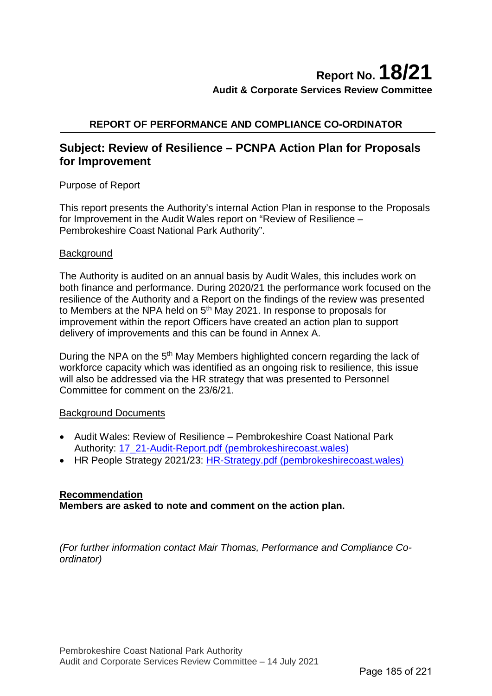# **REPORT OF PERFORMANCE AND COMPLIANCE CO-ORDINATOR**

# **Subject: Review of Resilience – PCNPA Action Plan for Proposals for Improvement**

## Purpose of Report

This report presents the Authority's internal Action Plan in response to the Proposals for Improvement in the Audit Wales report on "Review of Resilience – Pembrokeshire Coast National Park Authority".

#### **Background**

The Authority is audited on an annual basis by Audit Wales, this includes work on both finance and performance. During 2020/21 the performance work focused on the resilience of the Authority and a Report on the findings of the review was presented to Members at the NPA held on 5<sup>th</sup> May 2021. In response to proposals for improvement within the report Officers have created an action plan to support delivery of improvements and this can be found in Annex A.

During the NPA on the 5<sup>th</sup> May Members highlighted concern regarding the lack of workforce capacity which was identified as an ongoing risk to resilience, this issue will also be addressed via the HR strategy that was presented to Personnel Committee for comment on the 23/6/21.

## Background Documents

- Audit Wales: Review of Resilience Pembrokeshire Coast National Park Authority: [17\\_21-Audit-Report.pdf \(pembrokeshirecoast.wales\)](https://www.pembrokeshirecoast.wales/wp-content/uploads/2021/04/17_21-Audit-Report.pdf)
- HR People Strategy 2021/23: [HR-Strategy.pdf \(pembrokeshirecoast.wales\)](https://www.pembrokeshirecoast.wales/wp-content/uploads/2021/06/HR-Strategy.pdf)

## **Recommendation**

**Members are asked to note and comment on the action plan.**

*(For further information contact Mair Thomas, Performance and Compliance Coordinator)*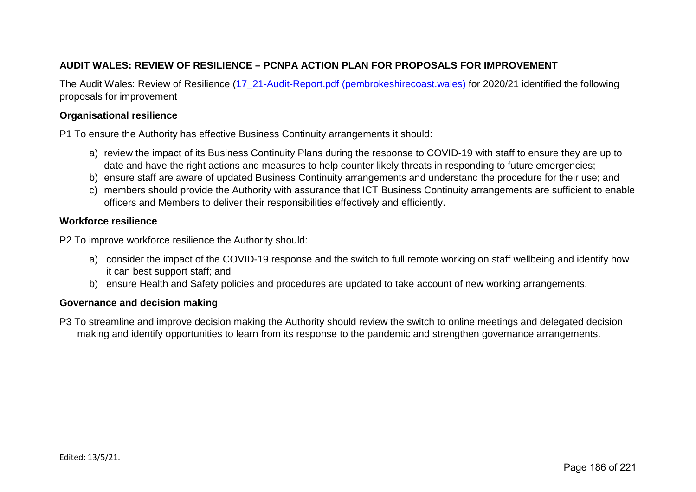# **AUDIT WALES: REVIEW OF RESILIENCE – PCNPA ACTION PLAN FOR PROPOSALS FOR IMPROVEMENT**

The Audit Wales: Review of Resilience [\(17\\_21-Audit-Report.pdf \(pembrokeshirecoast.wales\)](https://www.pembrokeshirecoast.wales/wp-content/uploads/2021/04/17_21-Audit-Report.pdf) for 2020/21 identified the following proposals for improvement

#### **Organisational resilience**

P1 To ensure the Authority has effective Business Continuity arrangements it should:

- a) review the impact of its Business Continuity Plans during the response to COVID-19 with staff to ensure they are up to date and have the right actions and measures to help counter likely threats in responding to future emergencies;
- b) ensure staff are aware of updated Business Continuity arrangements and understand the procedure for their use; and
- c) members should provide the Authority with assurance that ICT Business Continuity arrangements are sufficient to enable officers and Members to deliver their responsibilities effectively and efficiently.

#### **Workforce resilience**

P2 To improve workforce resilience the Authority should:

- a) consider the impact of the COVID-19 response and the switch to full remote working on staff wellbeing and identify how it can best support staff; and
- b) ensure Health and Safety policies and procedures are updated to take account of new working arrangements.

#### **Governance and decision making**

P3 To streamline and improve decision making the Authority should review the switch to online meetings and delegated decision making and identify opportunities to learn from its response to the pandemic and strengthen governance arrangements.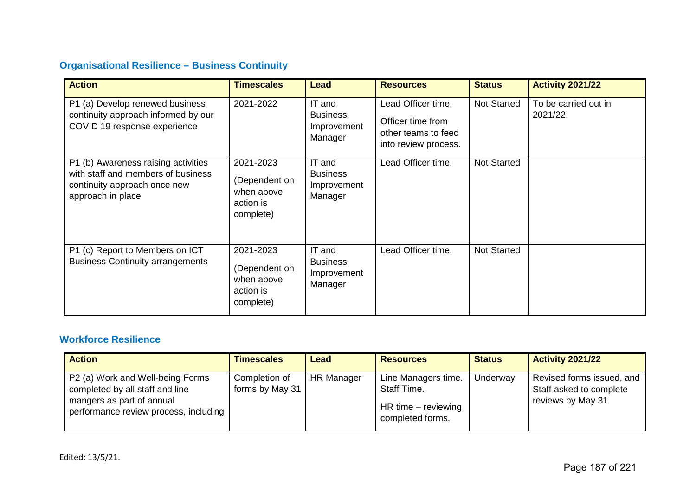# **Organisational Resilience – Business Continuity**

| <b>Action</b>                                                                                                                  | <b>Timescales</b>                                                  | <b>Lead</b>                                         | <b>Resources</b>                                                                       | <b>Status</b>      | <b>Activity 2021/22</b>          |
|--------------------------------------------------------------------------------------------------------------------------------|--------------------------------------------------------------------|-----------------------------------------------------|----------------------------------------------------------------------------------------|--------------------|----------------------------------|
| P1 (a) Develop renewed business<br>continuity approach informed by our<br>COVID 19 response experience                         | 2021-2022                                                          | IT and<br><b>Business</b><br>Improvement<br>Manager | Lead Officer time.<br>Officer time from<br>other teams to feed<br>into review process. | <b>Not Started</b> | To be carried out in<br>2021/22. |
| P1 (b) Awareness raising activities<br>with staff and members of business<br>continuity approach once new<br>approach in place | 2021-2023<br>(Dependent on<br>when above<br>action is<br>complete) | IT and<br><b>Business</b><br>Improvement<br>Manager | Lead Officer time.                                                                     | <b>Not Started</b> |                                  |
| P1 (c) Report to Members on ICT<br><b>Business Continuity arrangements</b>                                                     | 2021-2023<br>(Dependent on<br>when above<br>action is<br>complete) | IT and<br><b>Business</b><br>Improvement<br>Manager | Lead Officer time.                                                                     | <b>Not Started</b> |                                  |

# **Workforce Resilience**

| <b>Action</b>                                                                                                                                         | <b>Timescales</b>                | <b>Lead</b>       | <b>Resources</b>                                                                  | <b>Status</b> | <b>Activity 2021/22</b>                                                   |
|-------------------------------------------------------------------------------------------------------------------------------------------------------|----------------------------------|-------------------|-----------------------------------------------------------------------------------|---------------|---------------------------------------------------------------------------|
| P <sub>2</sub> (a) Work and Well-being Forms<br>completed by all staff and line<br>mangers as part of annual<br>performance review process, including | Completion of<br>forms by May 31 | <b>HR Manager</b> | Line Managers time.<br>Staff Time.<br>$HR$ time $-$ reviewing<br>completed forms. | Underway      | Revised forms issued, and<br>Staff asked to complete<br>reviews by May 31 |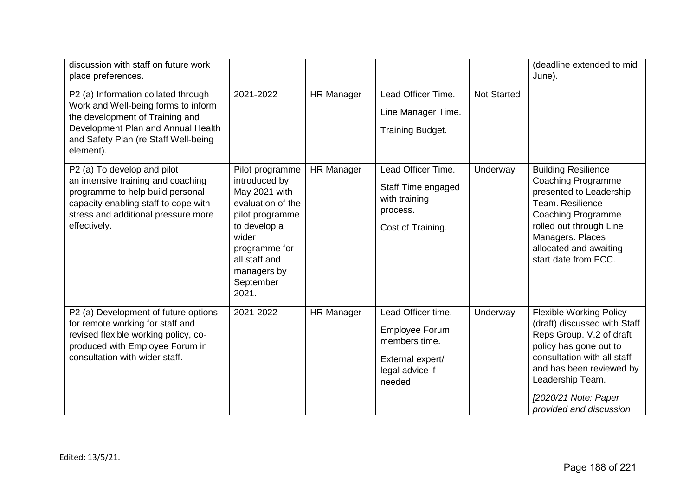| discussion with staff on future work<br>place preferences.                                                                                                                                               |                                                                                                                                                                                           |                   |                                                                                                                |                    | (deadline extended to mid<br>June).                                                                                                                                                                                                                    |
|----------------------------------------------------------------------------------------------------------------------------------------------------------------------------------------------------------|-------------------------------------------------------------------------------------------------------------------------------------------------------------------------------------------|-------------------|----------------------------------------------------------------------------------------------------------------|--------------------|--------------------------------------------------------------------------------------------------------------------------------------------------------------------------------------------------------------------------------------------------------|
| P2 (a) Information collated through<br>Work and Well-being forms to inform<br>the development of Training and<br>Development Plan and Annual Health<br>and Safety Plan (re Staff Well-being<br>element). | 2021-2022                                                                                                                                                                                 | <b>HR Manager</b> | Lead Officer Time.<br>Line Manager Time.<br>Training Budget.                                                   | <b>Not Started</b> |                                                                                                                                                                                                                                                        |
| P2 (a) To develop and pilot<br>an intensive training and coaching<br>programme to help build personal<br>capacity enabling staff to cope with<br>stress and additional pressure more<br>effectively.     | Pilot programme<br>introduced by<br>May 2021 with<br>evaluation of the<br>pilot programme<br>to develop a<br>wider<br>programme for<br>all staff and<br>managers by<br>September<br>2021. | <b>HR Manager</b> | Lead Officer Time.<br>Staff Time engaged<br>with training<br>process.<br>Cost of Training.                     | Underway           | <b>Building Resilience</b><br><b>Coaching Programme</b><br>presented to Leadership<br>Team. Resilience<br><b>Coaching Programme</b><br>rolled out through Line<br>Managers. Places<br>allocated and awaiting<br>start date from PCC.                   |
| P2 (a) Development of future options<br>for remote working for staff and<br>revised flexible working policy, co-<br>produced with Employee Forum in<br>consultation with wider staff.                    | 2021-2022                                                                                                                                                                                 | <b>HR Manager</b> | Lead Officer time.<br><b>Employee Forum</b><br>members time.<br>External expert/<br>legal advice if<br>needed. | Underway           | <b>Flexible Working Policy</b><br>(draft) discussed with Staff<br>Reps Group. V.2 of draft<br>policy has gone out to<br>consultation with all staff<br>and has been reviewed by<br>Leadership Team.<br>[2020/21 Note: Paper<br>provided and discussion |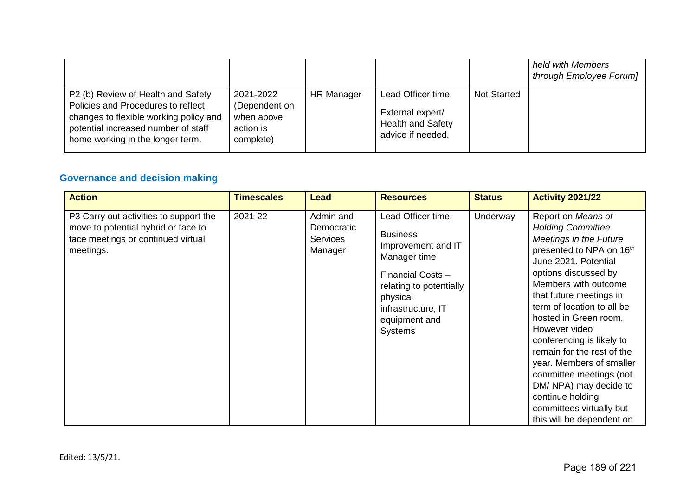|                                                                                                                                                                                               |                                                                    |                   |                                                                                         |                    | held with Members<br>through Employee Forum] |
|-----------------------------------------------------------------------------------------------------------------------------------------------------------------------------------------------|--------------------------------------------------------------------|-------------------|-----------------------------------------------------------------------------------------|--------------------|----------------------------------------------|
| P2 (b) Review of Health and Safety<br>Policies and Procedures to reflect<br>changes to flexible working policy and<br>potential increased number of staff<br>home working in the longer term. | 2021-2022<br>(Dependent on<br>when above<br>action is<br>complete) | <b>HR Manager</b> | Lead Officer time.<br>External expert/<br><b>Health and Safety</b><br>advice if needed. | <b>Not Started</b> |                                              |

# **Governance and decision making**

| <b>Action</b>                                                                                                                    | <b>Timescales</b> | Lead                                                  | <b>Resources</b>                                                                                                                                                                                 | <b>Status</b> | <b>Activity 2021/22</b>                                                                                                                                                                                                                                                                                                                                                                                                                                                                                         |
|----------------------------------------------------------------------------------------------------------------------------------|-------------------|-------------------------------------------------------|--------------------------------------------------------------------------------------------------------------------------------------------------------------------------------------------------|---------------|-----------------------------------------------------------------------------------------------------------------------------------------------------------------------------------------------------------------------------------------------------------------------------------------------------------------------------------------------------------------------------------------------------------------------------------------------------------------------------------------------------------------|
| P3 Carry out activities to support the<br>move to potential hybrid or face to<br>face meetings or continued virtual<br>meetings. | 2021-22           | Admin and<br>Democratic<br><b>Services</b><br>Manager | Lead Officer time.<br><b>Business</b><br>Improvement and IT<br>Manager time<br>Financial Costs -<br>relating to potentially<br>physical<br>infrastructure, IT<br>equipment and<br><b>Systems</b> | Underway      | Report on Means of<br><b>Holding Committee</b><br><b>Meetings in the Future</b><br>presented to NPA on 16th<br>June 2021. Potential<br>options discussed by<br>Members with outcome<br>that future meetings in<br>term of location to all be<br>hosted in Green room.<br>However video<br>conferencing is likely to<br>remain for the rest of the<br>year. Members of smaller<br>committee meetings (not<br>DM/ NPA) may decide to<br>continue holding<br>committees virtually but<br>this will be dependent on |